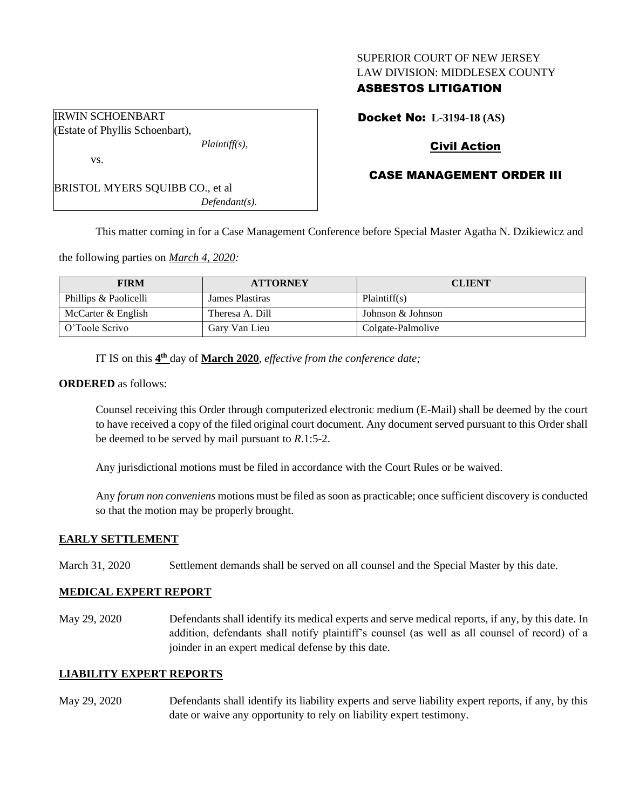#### SUPERIOR COURT OF NEW JERSEY LAW DIVISION: MIDDLESEX COUNTY

# ASBESTOS LITIGATION

Docket No: **L-3194-18 (AS)**

# Civil Action

## CASE MANAGEMENT ORDER III

BRISTOL MYERS SQUIBB CO., et al *Defendant(s).*

*Plaintiff(s),*

This matter coming in for a Case Management Conference before Special Master Agatha N. Dzikiewicz and

the following parties on *March 4, 2020:*

| <b>FIRM</b>           | <b>ATTORNEY</b> | <b>CLIENT</b>     |
|-----------------------|-----------------|-------------------|
| Phillips & Paolicelli | James Plastiras | Plaintiff(s)      |
| McCarter $&$ English  | Theresa A. Dill | Johnson & Johnson |
| O'Toole Scrivo        | Gary Van Lieu   | Colgate-Palmolive |

IT IS on this  $4^{\text{th}}$  day of **March 2020**, *effective from the conference date*;

#### **ORDERED** as follows:

IRWIN SCHOENBART Estate of Phyllis Schoenbart),

vs.

Counsel receiving this Order through computerized electronic medium (E-Mail) shall be deemed by the court to have received a copy of the filed original court document. Any document served pursuant to this Order shall be deemed to be served by mail pursuant to *R*.1:5-2.

Any jurisdictional motions must be filed in accordance with the Court Rules or be waived.

Any *forum non conveniens* motions must be filed as soon as practicable; once sufficient discovery is conducted so that the motion may be properly brought.

### **EARLY SETTLEMENT**

March 31, 2020 Settlement demands shall be served on all counsel and the Special Master by this date.

### **MEDICAL EXPERT REPORT**

May 29, 2020 Defendants shall identify its medical experts and serve medical reports, if any, by this date. In addition, defendants shall notify plaintiff's counsel (as well as all counsel of record) of a joinder in an expert medical defense by this date.

### **LIABILITY EXPERT REPORTS**

May 29, 2020 Defendants shall identify its liability experts and serve liability expert reports, if any, by this date or waive any opportunity to rely on liability expert testimony.